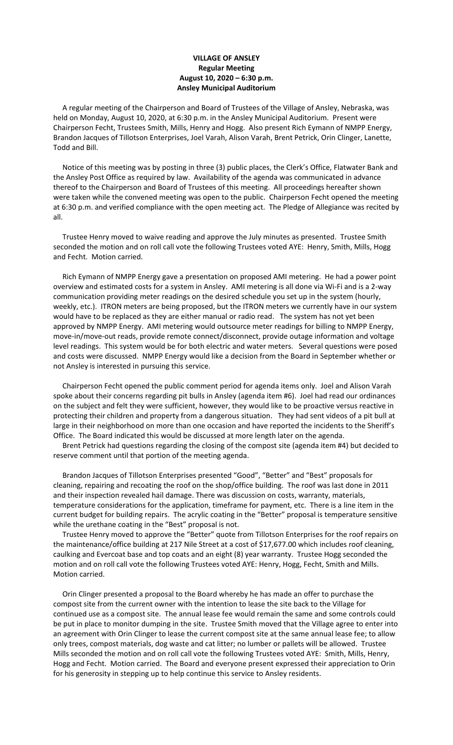## **VILLAGE OF ANSLEY Regular Meeting August 10, 2020 – 6:30 p.m. Ansley Municipal Auditorium**

 A regular meeting of the Chairperson and Board of Trustees of the Village of Ansley, Nebraska, was held on Monday, August 10, 2020, at 6:30 p.m. in the Ansley Municipal Auditorium. Present were Chairperson Fecht, Trustees Smith, Mills, Henry and Hogg. Also present Rich Eymann of NMPP Energy, Brandon Jacques of Tillotson Enterprises, Joel Varah, Alison Varah, Brent Petrick, Orin Clinger, Lanette, Todd and Bill.

 Notice of this meeting was by posting in three (3) public places, the Clerk's Office, Flatwater Bank and the Ansley Post Office as required by law. Availability of the agenda was communicated in advance thereof to the Chairperson and Board of Trustees of this meeting. All proceedings hereafter shown were taken while the convened meeting was open to the public. Chairperson Fecht opened the meeting at 6:30 p.m. and verified compliance with the open meeting act. The Pledge of Allegiance was recited by all.

 Trustee Henry moved to waive reading and approve the July minutes as presented. Trustee Smith seconded the motion and on roll call vote the following Trustees voted AYE: Henry, Smith, Mills, Hogg and Fecht. Motion carried.

 Rich Eymann of NMPP Energy gave a presentation on proposed AMI metering. He had a power point overview and estimated costs for a system in Ansley. AMI metering is all done via Wi-Fi and is a 2-way communication providing meter readings on the desired schedule you set up in the system (hourly, weekly, etc.). ITRON meters are being proposed, but the ITRON meters we currently have in our system would have to be replaced as they are either manual or radio read. The system has not yet been approved by NMPP Energy. AMI metering would outsource meter readings for billing to NMPP Energy, move-in/move-out reads, provide remote connect/disconnect, provide outage information and voltage level readings. This system would be for both electric and water meters. Several questions were posed and costs were discussed. NMPP Energy would like a decision from the Board in September whether or not Ansley is interested in pursuing this service.

 Chairperson Fecht opened the public comment period for agenda items only. Joel and Alison Varah spoke about their concerns regarding pit bulls in Ansley (agenda item #6). Joel had read our ordinances on the subject and felt they were sufficient, however, they would like to be proactive versus reactive in protecting their children and property from a dangerous situation. They had sent videos of a pit bull at large in their neighborhood on more than one occasion and have reported the incidents to the Sheriff's Office. The Board indicated this would be discussed at more length later on the agenda.

 Brent Petrick had questions regarding the closing of the compost site (agenda item #4) but decided to reserve comment until that portion of the meeting agenda.

 Brandon Jacques of Tillotson Enterprises presented "Good", "Better" and "Best" proposals for cleaning, repairing and recoating the roof on the shop/office building. The roof was last done in 2011 and their inspection revealed hail damage. There was discussion on costs, warranty, materials, temperature considerations for the application, timeframe for payment, etc. There is a line item in the current budget for building repairs. The acrylic coating in the "Better" proposal is temperature sensitive while the urethane coating in the "Best" proposal is not.

 Trustee Henry moved to approve the "Better" quote from Tillotson Enterprises for the roof repairs on the maintenance/office building at 217 Nile Street at a cost of \$17,677.00 which includes roof cleaning, caulking and Evercoat base and top coats and an eight (8) year warranty. Trustee Hogg seconded the motion and on roll call vote the following Trustees voted AYE: Henry, Hogg, Fecht, Smith and Mills. Motion carried.

 Orin Clinger presented a proposal to the Board whereby he has made an offer to purchase the compost site from the current owner with the intention to lease the site back to the Village for continued use as a compost site. The annual lease fee would remain the same and some controls could be put in place to monitor dumping in the site. Trustee Smith moved that the Village agree to enter into an agreement with Orin Clinger to lease the current compost site at the same annual lease fee; to allow only trees, compost materials, dog waste and cat litter; no lumber or pallets will be allowed. Trustee Mills seconded the motion and on roll call vote the following Trustees voted AYE: Smith, Mills, Henry, Hogg and Fecht. Motion carried. The Board and everyone present expressed their appreciation to Orin for his generosity in stepping up to help continue this service to Ansley residents.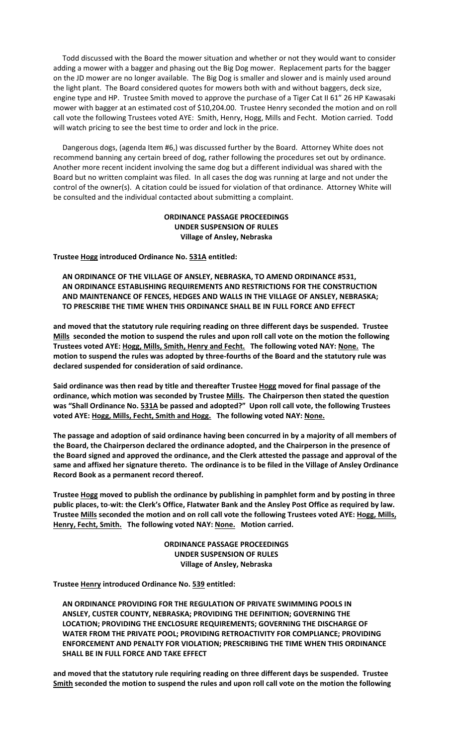Todd discussed with the Board the mower situation and whether or not they would want to consider adding a mower with a bagger and phasing out the Big Dog mower. Replacement parts for the bagger on the JD mower are no longer available. The Big Dog is smaller and slower and is mainly used around the light plant. The Board considered quotes for mowers both with and without baggers, deck size, engine type and HP. Trustee Smith moved to approve the purchase of a Tiger Cat II 61" 26 HP Kawasaki mower with bagger at an estimated cost of \$10,204.00. Trustee Henry seconded the motion and on roll call vote the following Trustees voted AYE: Smith, Henry, Hogg, Mills and Fecht. Motion carried. Todd will watch pricing to see the best time to order and lock in the price.

 Dangerous dogs, (agenda Item #6,) was discussed further by the Board. Attorney White does not recommend banning any certain breed of dog, rather following the procedures set out by ordinance. Another more recent incident involving the same dog but a different individual was shared with the Board but no written complaint was filed. In all cases the dog was running at large and not under the control of the owner(s). A citation could be issued for violation of that ordinance. Attorney White will be consulted and the individual contacted about submitting a complaint.

> **ORDINANCE PASSAGE PROCEEDINGS UNDER SUSPENSION OF RULES Village of Ansley, Nebraska**

**Trustee Hogg introduced Ordinance No. 531A entitled:**

 **AN ORDINANCE OF THE VILLAGE OF ANSLEY, NEBRASKA, TO AMEND ORDINANCE #531, AN ORDINANCE ESTABLISHING REQUIREMENTS AND RESTRICTIONS FOR THE CONSTRUCTION AND MAINTENANCE OF FENCES, HEDGES AND WALLS IN THE VILLAGE OF ANSLEY, NEBRASKA; TO PRESCRIBE THE TIME WHEN THIS ORDINANCE SHALL BE IN FULL FORCE AND EFFECT**

**and moved that the statutory rule requiring reading on three different days be suspended. Trustee Mills seconded the motion to suspend the rules and upon roll call vote on the motion the following Trustees voted AYE: Hogg, Mills, Smith, Henry and Fecht. The following voted NAY: None. The motion to suspend the rules was adopted by three-fourths of the Board and the statutory rule was declared suspended for consideration of said ordinance.**

**Said ordinance was then read by title and thereafter Trustee Hogg moved for final passage of the ordinance, which motion was seconded by Trustee Mills. The Chairperson then stated the question was "Shall Ordinance No. 531A be passed and adopted?" Upon roll call vote, the following Trustees voted AYE: Hogg, Mills, Fecht, Smith and Hogg. The following voted NAY: None.**

**The passage and adoption of said ordinance having been concurred in by a majority of all members of the Board, the Chairperson declared the ordinance adopted, and the Chairperson in the presence of the Board signed and approved the ordinance, and the Clerk attested the passage and approval of the same and affixed her signature thereto. The ordinance is to be filed in the Village of Ansley Ordinance Record Book as a permanent record thereof.**

**Trustee Hogg moved to publish the ordinance by publishing in pamphlet form and by posting in three public places, to**-**wit: the Clerk's Office, Flatwater Bank and the Ansley Post Office as required by law. Trustee Mills seconded the motion and on roll call vote the following Trustees voted AYE: Hogg, Mills, Henry, Fecht, Smith. The following voted NAY: None. Motion carried.**

> **ORDINANCE PASSAGE PROCEEDINGS UNDER SUSPENSION OF RULES Village of Ansley, Nebraska**

**Trustee Henry introduced Ordinance No. 539 entitled:**

 **AN ORDINANCE PROVIDING FOR THE REGULATION OF PRIVATE SWIMMING POOLS IN ANSLEY, CUSTER COUNTY, NEBRASKA; PROVIDING THE DEFINITION; GOVERNING THE LOCATION; PROVIDING THE ENCLOSURE REQUIREMENTS; GOVERNING THE DISCHARGE OF WATER FROM THE PRIVATE POOL; PROVIDING RETROACTIVITY FOR COMPLIANCE; PROVIDING ENFORCEMENT AND PENALTY FOR VIOLATION; PRESCRIBING THE TIME WHEN THIS ORDINANCE SHALL BE IN FULL FORCE AND TAKE EFFECT**

**and moved that the statutory rule requiring reading on three different days be suspended. Trustee Smith seconded the motion to suspend the rules and upon roll call vote on the motion the following**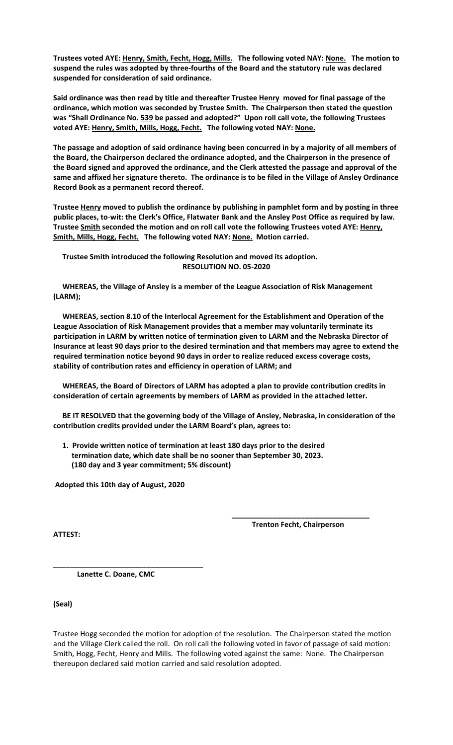**Trustees voted AYE: Henry, Smith, Fecht, Hogg, Mills. The following voted NAY: None. The motion to suspend the rules was adopted by three-fourths of the Board and the statutory rule was declared suspended for consideration of said ordinance.**

**Said ordinance was then read by title and thereafter Trustee Henry moved for final passage of the ordinance, which motion was seconded by Trustee Smith. The Chairperson then stated the question was "Shall Ordinance No. 539 be passed and adopted?" Upon roll call vote, the following Trustees voted AYE: Henry, Smith, Mills, Hogg, Fecht. The following voted NAY: None.**

**The passage and adoption of said ordinance having been concurred in by a majority of all members of the Board, the Chairperson declared the ordinance adopted, and the Chairperson in the presence of the Board signed and approved the ordinance, and the Clerk attested the passage and approval of the same and affixed her signature thereto. The ordinance is to be filed in the Village of Ansley Ordinance Record Book as a permanent record thereof.**

**Trustee Henry moved to publish the ordinance by publishing in pamphlet form and by posting in three public places, to**-**wit: the Clerk's Office, Flatwater Bank and the Ansley Post Office as required by law. Trustee Smith seconded the motion and on roll call vote the following Trustees voted AYE: Henry, Smith, Mills, Hogg, Fecht. The following voted NAY: None. Motion carried.**

 **Trustee Smith introduced the following Resolution and moved its adoption. RESOLUTION NO. 05-2020**

 **WHEREAS, the Village of Ansley is a member of the League Association of Risk Management (LARM);**

 **WHEREAS, section 8.10 of the Interlocal Agreement for the Establishment and Operation of the League Association of Risk Management provides that a member may voluntarily terminate its participation in LARM by written notice of termination given to LARM and the Nebraska Director of Insurance at least 90 days prior to the desired termination and that members may agree to extend the required termination notice beyond 90 days in order to realize reduced excess coverage costs, stability of contribution rates and efficiency in operation of LARM; and**

 **WHEREAS, the Board of Directors of LARM has adopted a plan to provide contribution credits in consideration of certain agreements by members of LARM as provided in the attached letter.**

 **BE IT RESOLVED that the governing body of the Village of Ansley, Nebraska, in consideration of the contribution credits provided under the LARM Board's plan, agrees to:**

 **1. Provide written notice of termination at least 180 days prior to the desired termination date, which date shall be no sooner than September 30, 2023. (180 day and 3 year commitment; 5% discount)**

**Adopted this 10th day of August, 2020**

**ATTEST:**

 **\_\_\_\_\_\_\_\_\_\_\_\_\_\_\_\_\_\_\_\_\_\_\_\_\_\_\_\_\_\_\_\_\_\_ Trenton Fecht, Chairperson**

 **Lanette C. Doane, CMC**

**\_\_\_\_\_\_\_\_\_\_\_\_\_\_\_\_\_\_\_\_\_\_\_\_\_\_\_\_\_\_\_\_\_\_\_\_\_**

**(Seal)**

Trustee Hogg seconded the motion for adoption of the resolution. The Chairperson stated the motion and the Village Clerk called the roll. On roll call the following voted in favor of passage of said motion: Smith, Hogg, Fecht, Henry and Mills. The following voted against the same: None. The Chairperson thereupon declared said motion carried and said resolution adopted.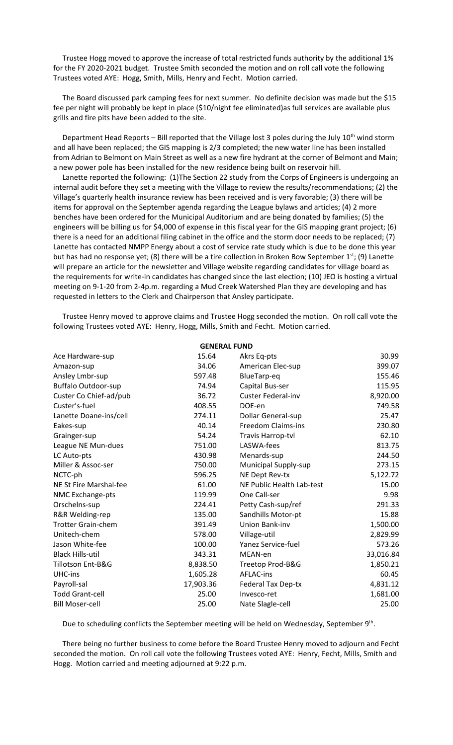Trustee Hogg moved to approve the increase of total restricted funds authority by the additional 1% for the FY 2020-2021 budget. Trustee Smith seconded the motion and on roll call vote the following Trustees voted AYE: Hogg, Smith, Mills, Henry and Fecht. Motion carried.

 The Board discussed park camping fees for next summer. No definite decision was made but the \$15 fee per night will probably be kept in place (\$10/night fee eliminated)as full services are available plus grills and fire pits have been added to the site.

Department Head Reports - Bill reported that the Village lost 3 poles during the July 10<sup>th</sup> wind storm and all have been replaced; the GIS mapping is 2/3 completed; the new water line has been installed from Adrian to Belmont on Main Street as well as a new fire hydrant at the corner of Belmont and Main; a new power pole has been installed for the new residence being built on reservoir hill.

 Lanette reported the following: (1)The Section 22 study from the Corps of Engineers is undergoing an internal audit before they set a meeting with the Village to review the results/recommendations; (2) the Village's quarterly health insurance review has been received and is very favorable; (3) there will be items for approval on the September agenda regarding the League bylaws and articles; (4) 2 more benches have been ordered for the Municipal Auditorium and are being donated by families; (5) the engineers will be billing us for \$4,000 of expense in this fiscal year for the GIS mapping grant project; (6) there is a need for an additional filing cabinet in the office and the storm door needs to be replaced; (7) Lanette has contacted NMPP Energy about a cost of service rate study which is due to be done this year but has had no response yet; (8) there will be a tire collection in Broken Bow September 1<sup>st</sup>; (9) Lanette will prepare an article for the newsletter and Village website regarding candidates for village board as the requirements for write-in candidates has changed since the last election; (10) JEO is hosting a virtual meeting on 9-1-20 from 2-4p.m. regarding a Mud Creek Watershed Plan they are developing and has requested in letters to the Clerk and Chairperson that Ansley participate.

 Trustee Henry moved to approve claims and Trustee Hogg seconded the motion. On roll call vote the following Trustees voted AYE: Henry, Hogg, Mills, Smith and Fecht. Motion carried.

| 15.64<br>Ace Hardware-sup<br>Akrs Eq-pts<br>34.06<br>American Elec-sup<br>Amazon-sup<br>Ansley Lmbr-sup<br>597.48<br>BlueTarp-eq<br><b>Buffalo Outdoor-sup</b><br>Capital Bus-ser<br>74.94<br>Custer Co Chief-ad/pub<br><b>Custer Federal-inv</b><br>36.72<br>Custer's-fuel<br>408.55<br>DOE-en<br>Lanette Doane-ins/cell<br>274.11<br>Dollar General-sup<br><b>Freedom Claims-ins</b><br>40.14<br>Eakes-sup<br>Grainger-sup<br>54.24<br>Travis Harrop-tvl<br>LASWA-fees<br>League NE Mun-dues<br>751.00<br>430.98<br>Menards-sup<br>LC Auto-pts<br>Miller & Assoc-ser<br>750.00<br><b>Municipal Supply-sup</b><br>NCTC-ph<br>NE Dept Rev-tx<br>596.25<br>NE Public Health Lab-test<br>NE St Fire Marshal-fee<br>61.00<br>One Call-ser<br>NMC Exchange-pts<br>119.99<br>Orschelns-sup<br>Petty Cash-sup/ref<br>224.41<br>Sandhills Motor-pt<br>R&R Welding-rep<br>135.00<br><b>Trotter Grain-chem</b><br>Union Bank-inv<br>391.49<br>Unitech-chem<br>578.00<br>Village-util<br>Yanez Service-fuel<br>Jason White-fee<br>100.00<br><b>Black Hills-util</b><br>343.31<br>MEAN-en<br>Tillotson Ent-B&G<br>8,838.50<br>Treetop Prod-B&G<br>UHC-ins<br>1,605.28<br><b>AFLAC-ins</b><br>17,903.36<br>Payroll-sal<br><b>Federal Tax Dep-tx</b><br><b>Todd Grant-cell</b><br>25.00<br>Invesco-ret<br><b>Bill Moser-cell</b><br>25.00<br>Nate Slagle-cell | <b>GENERAL FUND</b> |           |
|--------------------------------------------------------------------------------------------------------------------------------------------------------------------------------------------------------------------------------------------------------------------------------------------------------------------------------------------------------------------------------------------------------------------------------------------------------------------------------------------------------------------------------------------------------------------------------------------------------------------------------------------------------------------------------------------------------------------------------------------------------------------------------------------------------------------------------------------------------------------------------------------------------------------------------------------------------------------------------------------------------------------------------------------------------------------------------------------------------------------------------------------------------------------------------------------------------------------------------------------------------------------------------------------------------------------------------------------------|---------------------|-----------|
|                                                                                                                                                                                                                                                                                                                                                                                                                                                                                                                                                                                                                                                                                                                                                                                                                                                                                                                                                                                                                                                                                                                                                                                                                                                                                                                                                  |                     | 30.99     |
|                                                                                                                                                                                                                                                                                                                                                                                                                                                                                                                                                                                                                                                                                                                                                                                                                                                                                                                                                                                                                                                                                                                                                                                                                                                                                                                                                  |                     | 399.07    |
|                                                                                                                                                                                                                                                                                                                                                                                                                                                                                                                                                                                                                                                                                                                                                                                                                                                                                                                                                                                                                                                                                                                                                                                                                                                                                                                                                  |                     | 155.46    |
|                                                                                                                                                                                                                                                                                                                                                                                                                                                                                                                                                                                                                                                                                                                                                                                                                                                                                                                                                                                                                                                                                                                                                                                                                                                                                                                                                  |                     | 115.95    |
|                                                                                                                                                                                                                                                                                                                                                                                                                                                                                                                                                                                                                                                                                                                                                                                                                                                                                                                                                                                                                                                                                                                                                                                                                                                                                                                                                  |                     | 8,920.00  |
|                                                                                                                                                                                                                                                                                                                                                                                                                                                                                                                                                                                                                                                                                                                                                                                                                                                                                                                                                                                                                                                                                                                                                                                                                                                                                                                                                  |                     | 749.58    |
|                                                                                                                                                                                                                                                                                                                                                                                                                                                                                                                                                                                                                                                                                                                                                                                                                                                                                                                                                                                                                                                                                                                                                                                                                                                                                                                                                  |                     | 25.47     |
|                                                                                                                                                                                                                                                                                                                                                                                                                                                                                                                                                                                                                                                                                                                                                                                                                                                                                                                                                                                                                                                                                                                                                                                                                                                                                                                                                  |                     | 230.80    |
|                                                                                                                                                                                                                                                                                                                                                                                                                                                                                                                                                                                                                                                                                                                                                                                                                                                                                                                                                                                                                                                                                                                                                                                                                                                                                                                                                  |                     | 62.10     |
|                                                                                                                                                                                                                                                                                                                                                                                                                                                                                                                                                                                                                                                                                                                                                                                                                                                                                                                                                                                                                                                                                                                                                                                                                                                                                                                                                  |                     | 813.75    |
|                                                                                                                                                                                                                                                                                                                                                                                                                                                                                                                                                                                                                                                                                                                                                                                                                                                                                                                                                                                                                                                                                                                                                                                                                                                                                                                                                  |                     | 244.50    |
|                                                                                                                                                                                                                                                                                                                                                                                                                                                                                                                                                                                                                                                                                                                                                                                                                                                                                                                                                                                                                                                                                                                                                                                                                                                                                                                                                  |                     | 273.15    |
|                                                                                                                                                                                                                                                                                                                                                                                                                                                                                                                                                                                                                                                                                                                                                                                                                                                                                                                                                                                                                                                                                                                                                                                                                                                                                                                                                  |                     | 5,122.72  |
|                                                                                                                                                                                                                                                                                                                                                                                                                                                                                                                                                                                                                                                                                                                                                                                                                                                                                                                                                                                                                                                                                                                                                                                                                                                                                                                                                  |                     | 15.00     |
|                                                                                                                                                                                                                                                                                                                                                                                                                                                                                                                                                                                                                                                                                                                                                                                                                                                                                                                                                                                                                                                                                                                                                                                                                                                                                                                                                  |                     | 9.98      |
|                                                                                                                                                                                                                                                                                                                                                                                                                                                                                                                                                                                                                                                                                                                                                                                                                                                                                                                                                                                                                                                                                                                                                                                                                                                                                                                                                  |                     | 291.33    |
|                                                                                                                                                                                                                                                                                                                                                                                                                                                                                                                                                                                                                                                                                                                                                                                                                                                                                                                                                                                                                                                                                                                                                                                                                                                                                                                                                  |                     | 15.88     |
|                                                                                                                                                                                                                                                                                                                                                                                                                                                                                                                                                                                                                                                                                                                                                                                                                                                                                                                                                                                                                                                                                                                                                                                                                                                                                                                                                  |                     | 1,500.00  |
|                                                                                                                                                                                                                                                                                                                                                                                                                                                                                                                                                                                                                                                                                                                                                                                                                                                                                                                                                                                                                                                                                                                                                                                                                                                                                                                                                  |                     | 2,829.99  |
|                                                                                                                                                                                                                                                                                                                                                                                                                                                                                                                                                                                                                                                                                                                                                                                                                                                                                                                                                                                                                                                                                                                                                                                                                                                                                                                                                  |                     | 573.26    |
|                                                                                                                                                                                                                                                                                                                                                                                                                                                                                                                                                                                                                                                                                                                                                                                                                                                                                                                                                                                                                                                                                                                                                                                                                                                                                                                                                  |                     | 33,016.84 |
|                                                                                                                                                                                                                                                                                                                                                                                                                                                                                                                                                                                                                                                                                                                                                                                                                                                                                                                                                                                                                                                                                                                                                                                                                                                                                                                                                  |                     | 1,850.21  |
|                                                                                                                                                                                                                                                                                                                                                                                                                                                                                                                                                                                                                                                                                                                                                                                                                                                                                                                                                                                                                                                                                                                                                                                                                                                                                                                                                  |                     | 60.45     |
|                                                                                                                                                                                                                                                                                                                                                                                                                                                                                                                                                                                                                                                                                                                                                                                                                                                                                                                                                                                                                                                                                                                                                                                                                                                                                                                                                  |                     | 4,831.12  |
|                                                                                                                                                                                                                                                                                                                                                                                                                                                                                                                                                                                                                                                                                                                                                                                                                                                                                                                                                                                                                                                                                                                                                                                                                                                                                                                                                  |                     | 1,681.00  |
|                                                                                                                                                                                                                                                                                                                                                                                                                                                                                                                                                                                                                                                                                                                                                                                                                                                                                                                                                                                                                                                                                                                                                                                                                                                                                                                                                  |                     | 25.00     |

Due to scheduling conflicts the September meeting will be held on Wednesday, September 9<sup>th</sup>.

 There being no further business to come before the Board Trustee Henry moved to adjourn and Fecht seconded the motion. On roll call vote the following Trustees voted AYE: Henry, Fecht, Mills, Smith and Hogg. Motion carried and meeting adjourned at 9:22 p.m.